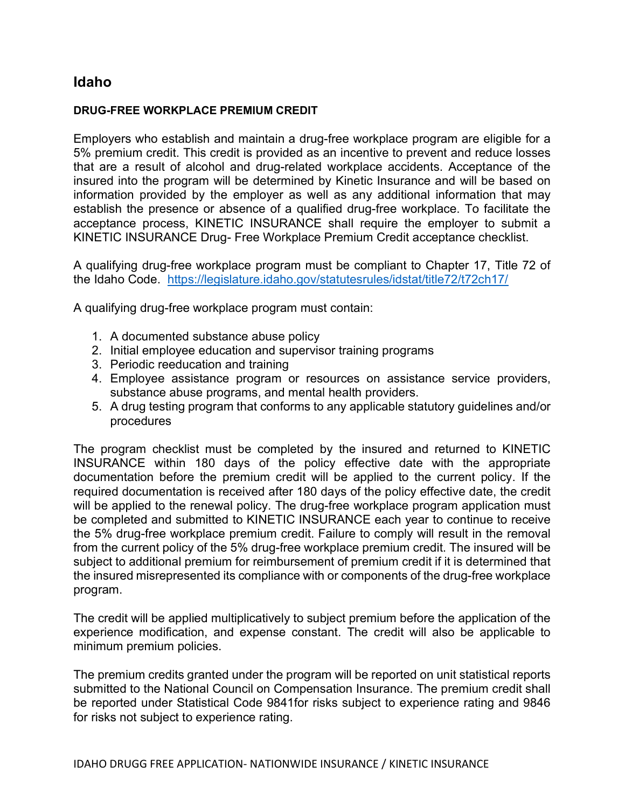## Idaho

## DRUG-FREE WORKPLACE PREMIUM CREDIT

Employers who establish and maintain a drug-free workplace program are eligible for a 5% premium credit. This credit is provided as an incentive to prevent and reduce losses that are a result of alcohol and drug-related workplace accidents. Acceptance of the insured into the program will be determined by Kinetic Insurance and will be based on information provided by the employer as well as any additional information that may establish the presence or absence of a qualified drug-free workplace. To facilitate the acceptance process, KINETIC INSURANCE shall require the employer to submit a KINETIC INSURANCE Drug- Free Workplace Premium Credit acceptance checklist.

A qualifying drug-free workplace program must be compliant to Chapter 17, Title 72 of the Idaho Code. https://legislature.idaho.gov/statutesrules/idstat/title72/t72ch17/

A qualifying drug-free workplace program must contain:

- 1. A documented substance abuse policy
- 2. Initial employee education and supervisor training programs
- 3. Periodic reeducation and training
- 4. Employee assistance program or resources on assistance service providers, substance abuse programs, and mental health providers.
- 5. A drug testing program that conforms to any applicable statutory guidelines and/or procedures

The program checklist must be completed by the insured and returned to KINETIC INSURANCE within 180 days of the policy effective date with the appropriate documentation before the premium credit will be applied to the current policy. If the required documentation is received after 180 days of the policy effective date, the credit will be applied to the renewal policy. The drug-free workplace program application must be completed and submitted to KINETIC INSURANCE each year to continue to receive the 5% drug-free workplace premium credit. Failure to comply will result in the removal from the current policy of the 5% drug-free workplace premium credit. The insured will be subject to additional premium for reimbursement of premium credit if it is determined that the insured misrepresented its compliance with or components of the drug-free workplace program.

The credit will be applied multiplicatively to subject premium before the application of the experience modification, and expense constant. The credit will also be applicable to minimum premium policies.

The premium credits granted under the program will be reported on unit statistical reports submitted to the National Council on Compensation Insurance. The premium credit shall be reported under Statistical Code 9841for risks subject to experience rating and 9846 for risks not subject to experience rating.